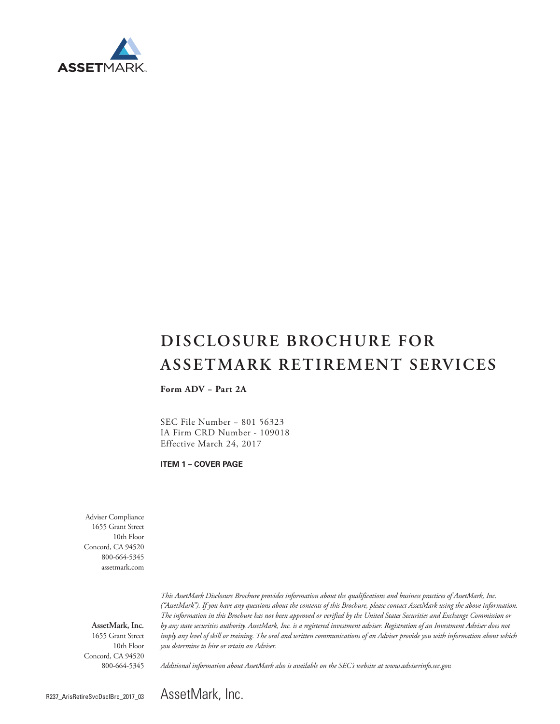

# **DISCLOSURE BROCHURE FOR ASSETMARK RETIREMENT SERVICES**

**Form ADV − Part 2A**

SEC File Number − 801 56323 IA Firm CRD Number - 109018 Effective March 24, 2017

**ITEM 1 – COVER PAGE**

Adviser Compliance 1655 Grant Street 10th Floor Concord, CA 94520 800-664-5345 assetmark.com

**AssetMark, Inc.** 1655 Grant Street 10th Floor Concord, CA 94520 800-664-5345

*This AssetMark Disclosure Brochure provides information about the qualifications and business practices of AssetMark, Inc. ("AssetMark"). If you have any questions about the contents of this Brochure, please contact AssetMark using the above information. The information in this Brochure has not been approved or verified by the United States Securities and Exchange Commission or by any state securities authority. AssetMark, Inc. is a registered investment adviser. Registration of an Investment Adviser does not imply any level of skill or training. The oral and written communications of an Adviser provide you with information about which you determine to hire or retain an Adviser.* 

*Additional information about AssetMark also is available on the SEC's website at www.adviserinfo.sec.gov.*

AssetMark, Inc.

R237\_ArisRetireSvcDsclBrc\_2017\_03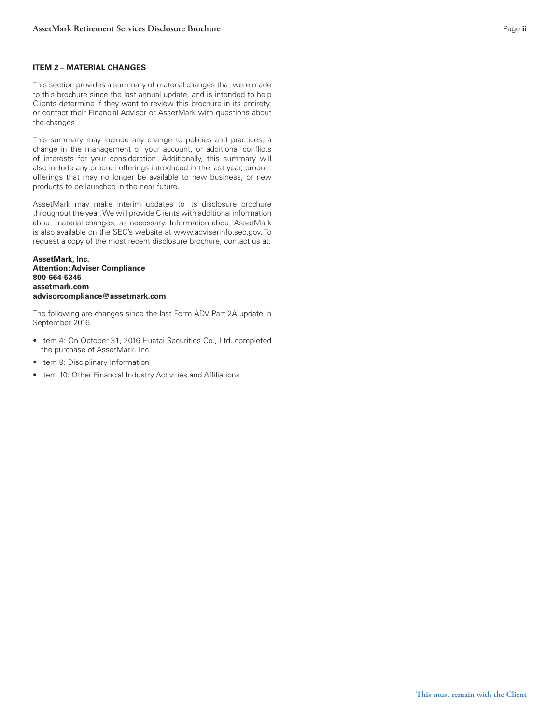## **ITEM 2 – MATERIAL CHANGES**

This section provides a summary of material changes that were made to this brochure since the last annual update, and is intended to help Clients determine if they want to review this brochure in its entirety, or contact their Financial Advisor or AssetMark with questions about the changes.

This summary may include any change to policies and practices, a change in the management of your account, or additional conflicts of interests for your consideration. Additionally, this summary will also include any product offerings introduced in the last year, product offerings that may no longer be available to new business, or new products to be launched in the near future.

AssetMark may make interim updates to its disclosure brochure throughout the year. We will provide Clients with additional information about material changes, as necessary. Information about AssetMark is also available on the SEC's website at www.adviserinfo.sec.gov. To request a copy of the most recent disclosure brochure, contact us at:

**AssetMark, Inc. Attention: Adviser Compliance 800-664-5345 assetmark.com advisorcompliance@assetmark.com**

The following are changes since the last Form ADV Part 2A update in

- September 2016. Item 4: On October 31, 2016 Huatai Securities Co., Ltd. completed the purchase of AssetMark, Inc.
- Item 9: Disciplinary Information
- Item 10: Other Financial Industry Activities and Affiliations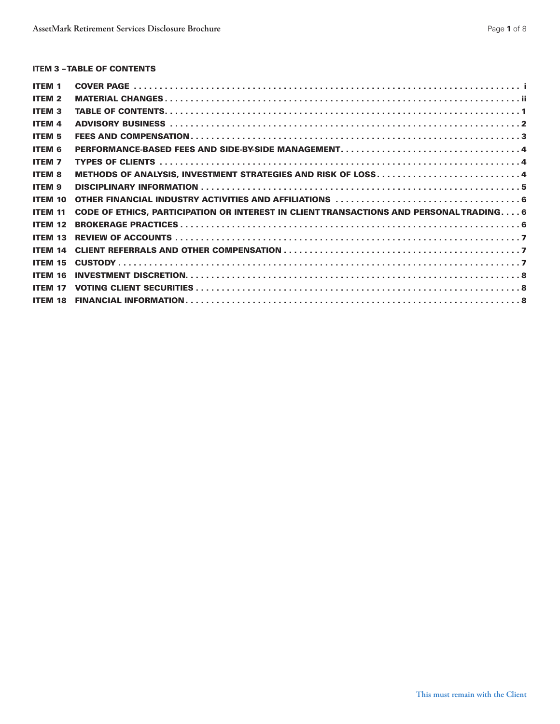# **ITEM 3 - TABLE OF CONTENTS**

| <b>ITEM 1</b>  |                                                                                         |  |
|----------------|-----------------------------------------------------------------------------------------|--|
| <b>ITEM 2</b>  |                                                                                         |  |
| <b>ITEM 3</b>  |                                                                                         |  |
| <b>ITEM 4</b>  |                                                                                         |  |
| <b>ITEM 5</b>  |                                                                                         |  |
| <b>ITEM 6</b>  |                                                                                         |  |
| <b>ITEM 7</b>  |                                                                                         |  |
| <b>ITEM 8</b>  | METHODS OF ANALYSIS, INVESTMENT STRATEGIES AND RISK OF LOSS 4                           |  |
| <b>ITEM 9</b>  |                                                                                         |  |
| <b>ITEM 10</b> |                                                                                         |  |
| <b>ITEM 11</b> | CODE OF ETHICS, PARTICIPATION OR INTEREST IN CLIENT TRANSACTIONS AND PERSONAL TRADING 6 |  |
| <b>ITEM 12</b> |                                                                                         |  |
| <b>ITEM 13</b> |                                                                                         |  |
| <b>ITEM 14</b> |                                                                                         |  |
| <b>ITEM 15</b> |                                                                                         |  |
| ITEM 16        |                                                                                         |  |
| <b>ITEM 17</b> |                                                                                         |  |
| <b>ITEM 18</b> |                                                                                         |  |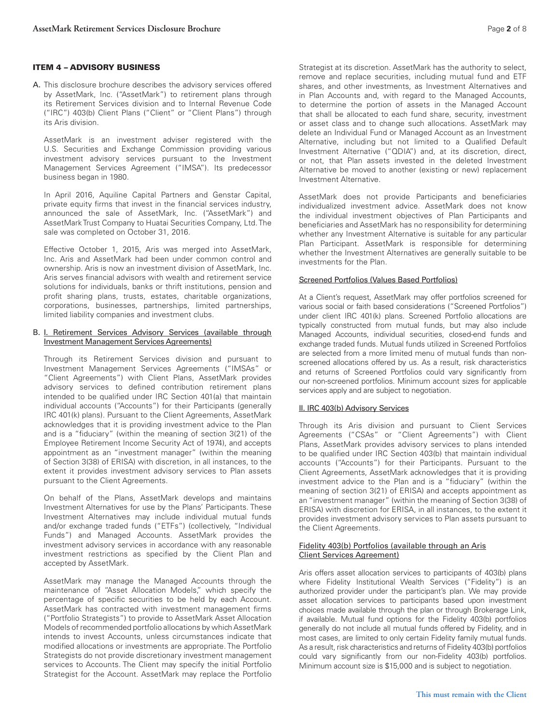#### ITEM 4 – ADVISORY BUSINESS

A. This disclosure brochure describes the advisory services offered by AssetMark, Inc. ("AssetMark") to retirement plans through its Retirement Services division and to Internal Revenue Code ("IRC") 403(b) Client Plans ("Client" or "Client Plans") through its Aris division.

AssetMark is an investment adviser registered with the U.S. Securities and Exchange Commission providing various investment advisory services pursuant to the Investment Management Services Agreement ("IMSA"). Its predecessor business began in 1980.

In April 2016, Aquiline Capital Partners and Genstar Capital, private equity firms that invest in the financial services industry, announced the sale of AssetMark, Inc. ("AssetMark") and AssetMark Trust Company to Huatai Securities Company, Ltd. The sale was completed on October 31, 2016.

Effective October 1, 2015, Aris was merged into AssetMark, Inc. Aris and AssetMark had been under common control and ownership. Aris is now an investment division of AssetMark, Inc. Aris serves financial advisors with wealth and retirement service solutions for individuals, banks or thrift institutions, pension and profit sharing plans, trusts, estates, charitable organizations, corporations, businesses, partnerships, limited partnerships, limited liability companies and investment clubs.

#### B. I. Retirement Services Advisory Services (available through Investment Management Services Agreements)

Through its Retirement Services division and pursuant to Investment Management Services Agreements ("IMSAs" or "Client Agreements") with Client Plans, AssetMark provides advisory services to defined contribution retirement plans intended to be qualified under IRC Section 401(a) that maintain individual accounts ("Accounts") for their Participants (generally IRC 401(k) plans). Pursuant to the Client Agreements, AssetMark acknowledges that it is providing investment advice to the Plan and is a "fiduciary" (within the meaning of section 3(21) of the Employee Retirement Income Security Act of 1974), and accepts appointment as an "investment manager" (within the meaning of Section 3(38) of ERISA) with discretion, in all instances, to the extent it provides investment advisory services to Plan assets pursuant to the Client Agreements.

On behalf of the Plans, AssetMark develops and maintains Investment Alternatives for use by the Plans' Participants. These Investment Alternatives may include individual mutual funds and/or exchange traded funds ("ETFs") (collectively, "Individual Funds") and Managed Accounts. AssetMark provides the investment advisory services in accordance with any reasonable investment restrictions as specified by the Client Plan and accepted by AssetMark.

AssetMark may manage the Managed Accounts through the maintenance of "Asset Allocation Models," which specify the percentage of specific securities to be held by each Account. AssetMark has contracted with investment management firms ("Portfolio Strategists") to provide to AssetMark Asset Allocation Models of recommended portfolio allocations by which AssetMark intends to invest Accounts, unless circumstances indicate that modified allocations or investments are appropriate. The Portfolio Strategists do not provide discretionary investment management services to Accounts. The Client may specify the initial Portfolio Strategist for the Account. AssetMark may replace the Portfolio

Strategist at its discretion. AssetMark has the authority to select, remove and replace securities, including mutual fund and ETF shares, and other investments, as Investment Alternatives and in Plan Accounts and, with regard to the Managed Accounts, to determine the portion of assets in the Managed Account that shall be allocated to each fund share, security, investment or asset class and to change such allocations. AssetMark may delete an Individual Fund or Managed Account as an Investment Alternative, including but not limited to a Qualified Default Investment Alternative ("QDIA") and, at its discretion, direct, or not, that Plan assets invested in the deleted Investment Alternative be moved to another (existing or new) replacement Investment Alternative.

AssetMark does not provide Participants and beneficiaries individualized investment advice. AssetMark does not know the individual investment objectives of Plan Participants and beneficiaries and AssetMark has no responsibility for determining whether any Investment Alternative is suitable for any particular Plan Participant. AssetMark is responsible for determining whether the Investment Alternatives are generally suitable to be investments for the Plan.

# Screened Portfolios (Values Based Portfolios)

At a Client's request, AssetMark may offer portfolios screened for various social or faith based considerations ("Screened Portfolios") under client IRC 401(k) plans. Screened Portfolio allocations are typically constructed from mutual funds, but may also include Managed Accounts, individual securities, closed-end funds and exchange traded funds. Mutual funds utilized in Screened Portfolios are selected from a more limited menu of mutual funds than nonscreened allocations offered by us. As a result, risk characteristics and returns of Screened Portfolios could vary significantly from our non-screened portfolios. Minimum account sizes for applicable services apply and are subject to negotiation.

## II. IRC 403(b) Advisory Services

Through its Aris division and pursuant to Client Services Agreements ("CSAs" or "Client Agreements") with Client Plans, AssetMark provides advisory services to plans intended to be qualified under IRC Section 403(b) that maintain individual accounts ("Accounts") for their Participants. Pursuant to the Client Agreements, AssetMark acknowledges that it is providing investment advice to the Plan and is a "fiduciary" (within the meaning of section 3(21) of ERISA) and accepts appointment as an "investment manager" (within the meaning of Section 3(38) of ERISA) with discretion for ERISA, in all instances, to the extent it provides investment advisory services to Plan assets pursuant to the Client Agreements.

#### Fidelity 403(b) Portfolios (available through an Aris Client Services Agreement)

Aris offers asset allocation services to participants of 403(b) plans where Fidelity Institutional Wealth Services ("Fidelity") is an authorized provider under the participant's plan. We may provide asset allocation services to participants based upon investment choices made available through the plan or through Brokerage Link, if available. Mutual fund options for the Fidelity 403(b) portfolios generally do not include all mutual funds offered by Fidelity, and in most cases, are limited to only certain Fidelity family mutual funds. As a result, risk characteristics and returns of Fidelity 403(b) portfolios could vary significantly from our non-Fidelity 403(b) portfolios. Minimum account size is \$15,000 and is subject to negotiation.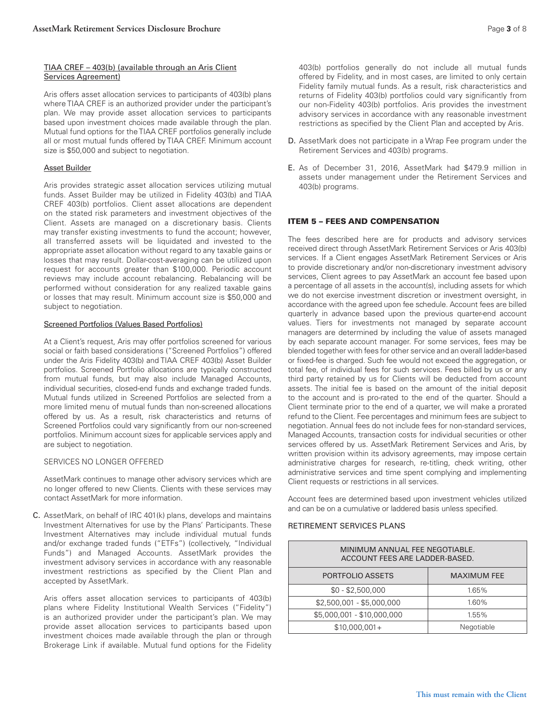#### TIAA CREF – 403(b) (available through an Aris Client Services Agreement)

Aris offers asset allocation services to participants of 403(b) plans where TIAA CREF is an authorized provider under the participant's plan. We may provide asset allocation services to participants based upon investment choices made available through the plan. Mutual fund options for the TIAA CREF portfolios generally include all or most mutual funds offered by TIAA CREF. Minimum account size is \$50,000 and subject to negotiation.

#### Asset Builder

Aris provides strategic asset allocation services utilizing mutual funds. Asset Builder may be utilized in Fidelity 403(b) and TIAA CREF 403(b) portfolios. Client asset allocations are dependent on the stated risk parameters and investment objectives of the Client. Assets are managed on a discretionary basis. Clients may transfer existing investments to fund the account; however, all transferred assets will be liquidated and invested to the appropriate asset allocation without regard to any taxable gains or losses that may result. Dollar-cost-averaging can be utilized upon request for accounts greater than \$100,000. Periodic account reviews may include account rebalancing. Rebalancing will be performed without consideration for any realized taxable gains or losses that may result. Minimum account size is \$50,000 and subject to negotiation.

#### Screened Portfolios (Values Based Portfolios)

At a Client's request, Aris may offer portfolios screened for various social or faith based considerations ("Screened Portfolios") offered under the Aris Fidelity 403(b) and TIAA CREF 403(b) Asset Builder portfolios. Screened Portfolio allocations are typically constructed from mutual funds, but may also include Managed Accounts, individual securities, closed-end funds and exchange traded funds. Mutual funds utilized in Screened Portfolios are selected from a more limited menu of mutual funds than non-screened allocations offered by us. As a result, risk characteristics and returns of Screened Portfolios could vary significantly from our non-screened portfolios. Minimum account sizes for applicable services apply and are subject to negotiation.

## SERVICES NO LONGER OFFERED

AssetMark continues to manage other advisory services which are no longer offered to new Clients. Clients with these services may contact AssetMark for more information.

C. AssetMark, on behalf of IRC 401(k) plans, develops and maintains Investment Alternatives for use by the Plans' Participants. These Investment Alternatives may include individual mutual funds and/or exchange traded funds ("ETFs") (collectively, "Individual Funds") and Managed Accounts. AssetMark provides the investment advisory services in accordance with any reasonable investment restrictions as specified by the Client Plan and accepted by AssetMark.

Aris offers asset allocation services to participants of 403(b) plans where Fidelity Institutional Wealth Services ("Fidelity") is an authorized provider under the participant's plan. We may provide asset allocation services to participants based upon investment choices made available through the plan or through Brokerage Link if available. Mutual fund options for the Fidelity

403(b) portfolios generally do not include all mutual funds offered by Fidelity, and in most cases, are limited to only certain Fidelity family mutual funds. As a result, risk characteristics and returns of Fidelity 403(b) portfolios could vary significantly from our non-Fidelity 403(b) portfolios. Aris provides the investment advisory services in accordance with any reasonable investment restrictions as specified by the Client Plan and accepted by Aris.

- D. AssetMark does not participate in a Wrap Fee program under the Retirement Services and 403(b) programs.
- E. As of December 31, 2016, AssetMark had \$479.9 million in assets under management under the Retirement Services and 403(b) programs.

#### ITEM 5 – FEES AND COMPENSATION

The fees described here are for products and advisory services received direct through AssetMark Retirement Services or Aris 403(b) services. If a Client engages AssetMark Retirement Services or Aris to provide discretionary and/or non-discretionary investment advisory services, Client agrees to pay AssetMark an account fee based upon a percentage of all assets in the account(s), including assets for which we do not exercise investment discretion or investment oversight, in accordance with the agreed upon fee schedule. Account fees are billed quarterly in advance based upon the previous quarter-end account values. Tiers for investments not managed by separate account managers are determined by including the value of assets managed by each separate account manager. For some services, fees may be blended together with fees for other service and an overall ladder-based or fixed-fee is charged. Such fee would not exceed the aggregation, or total fee, of individual fees for such services. Fees billed by us or any third party retained by us for Clients will be deducted from account assets. The initial fee is based on the amount of the initial deposit to the account and is pro-rated to the end of the quarter. Should a Client terminate prior to the end of a quarter, we will make a prorated refund to the Client. Fee percentages and minimum fees are subject to negotiation. Annual fees do not include fees for non-standard services, Managed Accounts, transaction costs for individual securities or other services offered by us. AssetMark Retirement Services and Aris, by written provision within its advisory agreements, may impose certain administrative charges for research, re-titling, check writing, other administrative services and time spent complying and implementing Client requests or restrictions in all services.

Account fees are determined based upon investment vehicles utilized and can be on a cumulative or laddered basis unless specified.

#### RETIREMENT SERVICES PLANS

| MINIMUM ANNUAL FEE NEGOTIABLE.<br>ACCOUNT FEES ARE LADDER-BASED. |                    |  |
|------------------------------------------------------------------|--------------------|--|
| PORTFOLIO ASSETS                                                 | <b>MAXIMUM FEE</b> |  |
| $$0 - $2,500,000$                                                | 1.65%              |  |
| \$2,500,001 - \$5,000,000                                        | 1.60%              |  |
| \$5,000,001 - \$10,000,000                                       | 1.55%              |  |
| $$10,000,001+$                                                   | Negotiable         |  |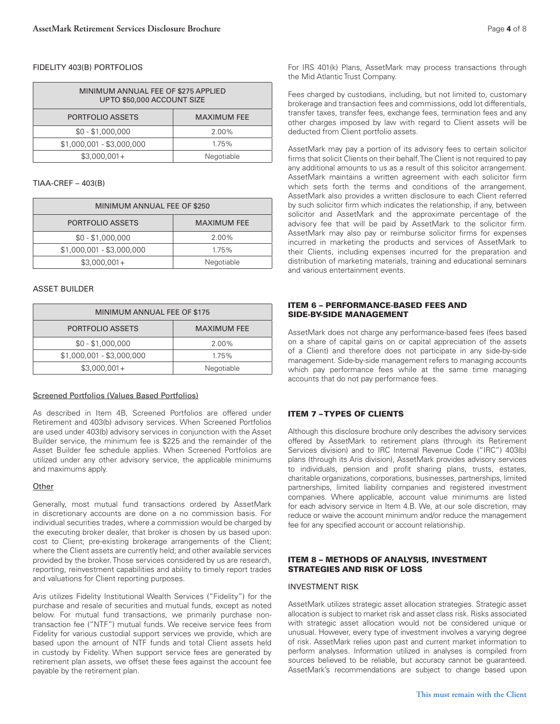## FIDELITY 403(B) PORTFOLIOS

| MINIMUM ANNUAL FEE OF \$275 APPLIED<br>UPTO \$50,000 ACCOUNT SIZE |                    |  |  |
|-------------------------------------------------------------------|--------------------|--|--|
| PORTFOLIO ASSETS                                                  | <b>MAXIMUM FEE</b> |  |  |
| $$0 - $1,000,000$                                                 | 2.00%              |  |  |
| $$1,000,001 - $3,000,000$                                         | 1.75%              |  |  |
| $$3,000,001+$                                                     | Negotiable         |  |  |

## TIAA-CREF – 403(B)

| MINIMUM ANNUAL FEE OF \$250 |                    |  |  |
|-----------------------------|--------------------|--|--|
| PORTFOLIO ASSETS            | <b>MAXIMUM FEE</b> |  |  |
| $$0 - $1,000,000$           | 2.00%              |  |  |
| $$1,000,001 - $3,000,000$   | 1.75%              |  |  |
| $$3,000,001+$               | Negotiable         |  |  |

## ASSET BUILDER

| MINIMUM ANNUAL FEE OF \$175 |                    |  |  |
|-----------------------------|--------------------|--|--|
| PORTFOLIO ASSETS            | <b>MAXIMUM FEE</b> |  |  |
| $$0 - $1,000,000$           | 2.00%              |  |  |
| $$1,000,001 - $3,000,000$   | 1.75%              |  |  |
| $$3,000,001+$               | Negotiable         |  |  |

## Screened Portfolios (Values Based Portfolios)

As described in Item 4B, Screened Portfolios are offered under Retirement and 403(b) advisory services. When Screened Portfolios are used under 403(b) advisory services in conjunction with the Asset Builder service, the minimum fee is \$225 and the remainder of the Asset Builder fee schedule applies. When Screened Portfolios are utilized under any other advisory service, the applicable minimums and maximums apply.

## **Other**

Generally, most mutual fund transactions ordered by AssetMark in discretionary accounts are done on a no commission basis. For individual securities trades, where a commission would be charged by the executing broker dealer, that broker is chosen by us based upon: cost to Client; pre-existing brokerage arrangements of the Client; where the Client assets are currently held; and other available services provided by the broker. Those services considered by us are research, reporting, reinvestment capabilities and ability to timely report trades and valuations for Client reporting purposes.

Aris utilizes Fidelity Institutional Wealth Services ("Fidelity") for the purchase and resale of securities and mutual funds, except as noted below. For mutual fund transactions, we primarily purchase nontransaction fee ("NTF") mutual funds. We receive service fees from Fidelity for various custodial support services we provide, which are based upon the amount of NTF funds and total Client assets held in custody by Fidelity. When support service fees are generated by retirement plan assets, we offset these fees against the account fee payable by the retirement plan.

For IRS 401(k) Plans, AssetMark may process transactions through the Mid Atlantic Trust Company.

Fees charged by custodians, including, but not limited to, customary brokerage and transaction fees and commissions, odd lot differentials, transfer taxes, transfer fees, exchange fees, termination fees and any other charges imposed by law with regard to Client assets will be deducted from Client portfolio assets.

AssetMark may pay a portion of its advisory fees to certain solicitor firms that solicit Clients on their behalf. The Client is not required to pay any additional amounts to us as a result of this solicitor arrangement. AssetMark maintains a written agreement with each solicitor firm which sets forth the terms and conditions of the arrangement. AssetMark also provides a written disclosure to each Client referred by such solicitor firm which indicates the relationship, if any, between solicitor and AssetMark and the approximate percentage of the advisory fee that will be paid by AssetMark to the solicitor firm. AssetMark may also pay or reimburse solicitor firms for expenses incurred in marketing the products and services of AssetMark to their Clients, including expenses incurred for the preparation and distribution of marketing materials, training and educational seminars and various entertainment events.

## ITEM 6 – PERFORMANCE-BASED FEES AND SIDE-BY-SIDE MANAGEMENT

AssetMark does not charge any performance-based fees (fees based on a share of capital gains on or capital appreciation of the assets of a Client) and therefore does not participate in any side-by-side management. Side-by-side management refers to managing accounts which pay performance fees while at the same time managing accounts that do not pay performance fees.

# ITEM 7 – TYPES OF CLIENTS

Although this disclosure brochure only describes the advisory services offered by AssetMark to retirement plans (through its Retirement Services division) and to IRC Internal Revenue Code ("IRC") 403(b) plans (through its Aris division), AssetMark provides advisory services to individuals, pension and profit sharing plans, trusts, estates, charitable organizations, corporations, businesses, partnerships, limited partnerships, limited liability companies and registered investment companies. Where applicable, account value minimums are listed for each advisory service in Item 4.B. We, at our sole discretion, may reduce or waive the account minimum and/or reduce the management fee for any specified account or account relationship.

#### ITEM 8 – METHODS OF ANALYSIS, INVESTMENT STRATEGIES AND RISK OF LOSS

## INVESTMENT RISK

AssetMark utilizes strategic asset allocation strategies. Strategic asset allocation is subject to market risk and asset class risk. Risks associated with strategic asset allocation would not be considered unique or unusual. However, every type of investment involves a varying degree of risk. AssetMark relies upon past and current market information to perform analyses. Information utilized in analyses is compiled from sources believed to be reliable, but accuracy cannot be guaranteed. AssetMark's recommendations are subject to change based upon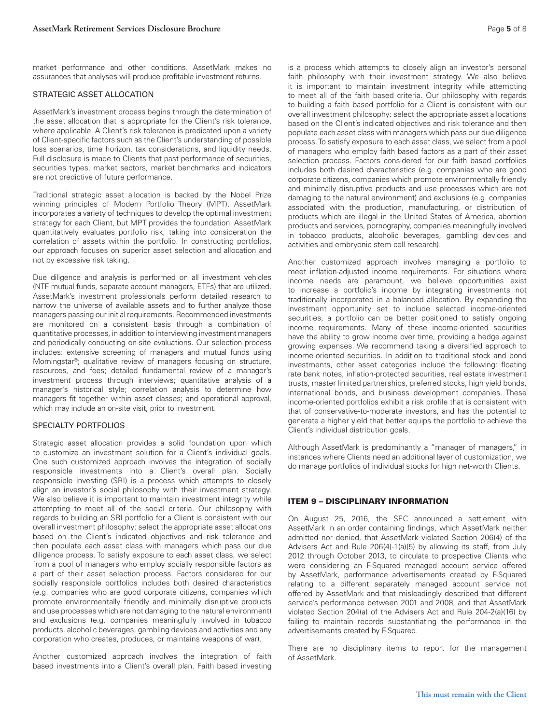market performance and other conditions. AssetMark makes no assurances that analyses will produce profitable investment returns.

#### STRATEGIC ASSET ALLOCATION

AssetMark's investment process begins through the determination of the asset allocation that is appropriate for the Client's risk tolerance, where applicable. A Client's risk tolerance is predicated upon a variety of Client-specific factors such as the Client's understanding of possible loss scenarios, time horizon, tax considerations, and liquidity needs. Full disclosure is made to Clients that past performance of securities, securities types, market sectors, market benchmarks and indicators are not predictive of future performance.

Traditional strategic asset allocation is backed by the Nobel Prize winning principles of Modern Portfolio Theory (MPT). AssetMark incorporates a variety of techniques to develop the optimal investment strategy for each Client, but MPT provides the foundation. AssetMark quantitatively evaluates portfolio risk, taking into consideration the correlation of assets within the portfolio. In constructing portfolios, our approach focuses on superior asset selection and allocation and not by excessive risk taking.

Due diligence and analysis is performed on all investment vehicles (NTF mutual funds, separate account managers, ETFs) that are utilized. AssetMark's investment professionals perform detailed research to narrow the universe of available assets and to further analyze those managers passing our initial requirements. Recommended investments are monitored on a consistent basis through a combination of quantitative processes, in addition to interviewing investment managers and periodically conducting on-site evaluations. Our selection process includes: extensive screening of managers and mutual funds using Morningstar®; qualitative review of managers focusing on structure, resources, and fees; detailed fundamental review of a manager's investment process through interviews; quantitative analysis of a manager's historical style; correlation analysis to determine how managers fit together within asset classes; and operational approval, which may include an on-site visit, prior to investment.

#### SPECIALTY PORTFOLIOS

Strategic asset allocation provides a solid foundation upon which to customize an investment solution for a Client's individual goals. One such customized approach involves the integration of socially responsible investments into a Client's overall plan. Socially responsible investing (SRI) is a process which attempts to closely align an investor's social philosophy with their investment strategy. We also believe it is important to maintain investment integrity while attempting to meet all of the social criteria. Our philosophy with regards to building an SRI portfolio for a Client is consistent with our overall investment philosophy: select the appropriate asset allocations based on the Client's indicated objectives and risk tolerance and then populate each asset class with managers which pass our due diligence process. To satisfy exposure to each asset class, we select from a pool of managers who employ socially responsible factors as a part of their asset selection process. Factors considered for our socially responsible portfolios includes both desired characteristics (e.g. companies who are good corporate citizens, companies which promote environmentally friendly and minimally disruptive products and use processes which are not damaging to the natural environment) and exclusions (e.g. companies meaningfully involved in tobacco products, alcoholic beverages, gambling devices and activities and any corporation who creates, produces, or maintains weapons of war).

Another customized approach involves the integration of faith based investments into a Client's overall plan. Faith based investing

is a process which attempts to closely align an investor's personal faith philosophy with their investment strategy. We also believe it is important to maintain investment integrity while attempting to meet all of the faith based criteria. Our philosophy with regards to building a faith based portfolio for a Client is consistent with our overall investment philosophy: select the appropriate asset allocations based on the Client's indicated objectives and risk tolerance and then populate each asset class with managers which pass our due diligence process. To satisfy exposure to each asset class, we select from a pool of managers who employ faith based factors as a part of their asset selection process. Factors considered for our faith based portfolios includes both desired characteristics (e.g. companies who are good corporate citizens, companies which promote environmentally friendly and minimally disruptive products and use processes which are not damaging to the natural environment) and exclusions (e.g. companies associated with the production, manufacturing, or distribution of products which are illegal in the United States of America, abortion products and services, pornography, companies meaningfully involved in tobacco products, alcoholic beverages, gambling devices and activities and embryonic stem cell research).

Another customized approach involves managing a portfolio to meet inflation-adjusted income requirements. For situations where income needs are paramount, we believe opportunities exist to increase a portfolio's income by integrating investments not traditionally incorporated in a balanced allocation. By expanding the investment opportunity set to include selected income-oriented securities, a portfolio can be better positioned to satisfy ongoing income requirements. Many of these income-oriented securities have the ability to grow income over time, providing a hedge against growing expenses. We recommend taking a diversified approach to income-oriented securities. In addition to traditional stock and bond investments, other asset categories include the following: floating rate bank notes, inflation-protected securities, real estate investment trusts, master limited partnerships, preferred stocks, high yield bonds, international bonds, and business development companies. These income-oriented portfolios exhibit a risk profile that is consistent with that of conservative-to-moderate investors, and has the potential to generate a higher yield that better equips the portfolio to achieve the Client's individual distribution goals.

Although AssetMark is predominantly a "manager of managers," in instances where Clients need an additional layer of customization, we do manage portfolios of individual stocks for high net-worth Clients.

#### ITEM 9 – DISCIPLINARY INFORMATION

On August 25, 2016, the SEC announced a settlement with AssetMark in an order containing findings, which AssetMark neither admitted nor denied, that AssetMark violated Section 206(4) of the Advisers Act and Rule 206(4)-1(a)(5) by allowing its staff, from July 2012 through October 2013, to circulate to prospective Clients who were considering an F-Squared managed account service offered by AssetMark, performance advertisements created by F-Squared relating to a different separately managed account service not offered by AssetMark and that misleadingly described that different service's performance between 2001 and 2008, and that AssetMark violated Section 204(a) of the Advisers Act and Rule 204-2(a)(16) by failing to maintain records substantiating the performance in the advertisements created by F-Squared.

There are no disciplinary items to report for the management of AssetMark.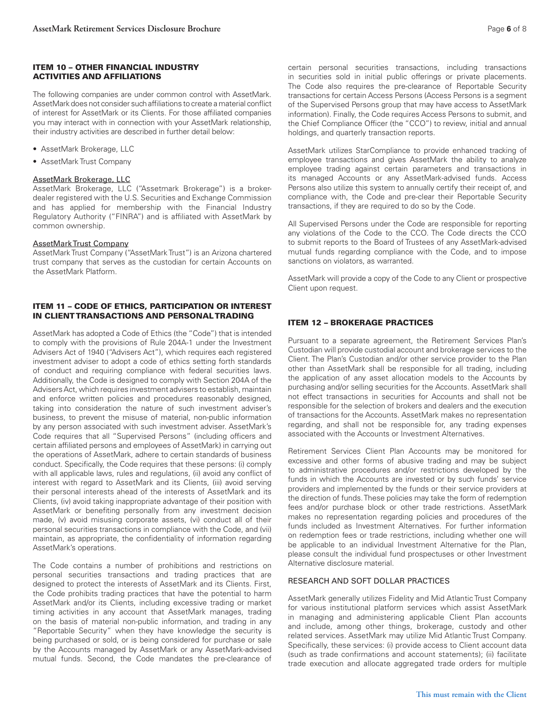#### ITEM 10 – OTHER FINANCIAL INDUSTRY ACTIVITIES AND AFFILIATIONS

The following companies are under common control with AssetMark. AssetMark does not consider such affiliations to create a material conflict of interest for AssetMark or its Clients. For those affiliated companies you may interact with in connection with your AssetMark relationship, their industry activities are described in further detail below:

- AssetMark Brokerage, LLC
- AssetMark Trust Company

#### AssetMark Brokerage, LLC

AssetMark Brokerage, LLC ("Assetmark Brokerage") is a brokerdealer registered with the U.S. Securities and Exchange Commission and has applied for membership with the Financial Industry Regulatory Authority ("FINRA") and is affiliated with AssetMark by common ownership.

#### AssetMark Trust Company

AssetMark Trust Company ("AssetMark Trust") is an Arizona chartered trust company that serves as the custodian for certain Accounts on the AssetMark Platform.

## ITEM 11 – CODE OF ETHICS, PARTICIPATION OR INTEREST IN CLIENT TRANSACTIONS AND PERSONAL TRADING

AssetMark has adopted a Code of Ethics (the "Code") that is intended to comply with the provisions of Rule 204A-1 under the Investment Advisers Act of 1940 ("Advisers Act"), which requires each registered investment adviser to adopt a code of ethics setting forth standards of conduct and requiring compliance with federal securities laws. Additionally, the Code is designed to comply with Section 204A of the Advisers Act, which requires investment advisers to establish, maintain and enforce written policies and procedures reasonably designed, taking into consideration the nature of such investment adviser's business, to prevent the misuse of material, non-public information by any person associated with such investment adviser. AssetMark's Code requires that all "Supervised Persons" (including officers and certain affiliated persons and employees of AssetMark) in carrying out the operations of AssetMark, adhere to certain standards of business conduct. Specifically, the Code requires that these persons: (i) comply with all applicable laws, rules and regulations, (ii) avoid any conflict of interest with regard to AssetMark and its Clients, (iii) avoid serving their personal interests ahead of the interests of AssetMark and its Clients, (iv) avoid taking inappropriate advantage of their position with AssetMark or benefiting personally from any investment decision made, (v) avoid misusing corporate assets, (vi) conduct all of their personal securities transactions in compliance with the Code, and (vii) maintain, as appropriate, the confidentiality of information regarding AssetMark's operations.

The Code contains a number of prohibitions and restrictions on personal securities transactions and trading practices that are designed to protect the interests of AssetMark and its Clients. First, the Code prohibits trading practices that have the potential to harm AssetMark and/or its Clients, including excessive trading or market timing activities in any account that AssetMark manages, trading on the basis of material non-public information, and trading in any "Reportable Security" when they have knowledge the security is being purchased or sold, or is being considered for purchase or sale by the Accounts managed by AssetMark or any AssetMark-advised mutual funds. Second, the Code mandates the pre-clearance of

certain personal securities transactions, including transactions in securities sold in initial public offerings or private placements. The Code also requires the pre-clearance of Reportable Security transactions for certain Access Persons (Access Persons is a segment of the Supervised Persons group that may have access to AssetMark information). Finally, the Code requires Access Persons to submit, and the Chief Compliance Officer (the "CCO") to review, initial and annual holdings, and quarterly transaction reports.

AssetMark utilizes StarCompliance to provide enhanced tracking of employee transactions and gives AssetMark the ability to analyze employee trading against certain parameters and transactions in its managed Accounts or any AssetMark-advised funds. Access Persons also utilize this system to annually certify their receipt of, and compliance with, the Code and pre-clear their Reportable Security transactions, if they are required to do so by the Code.

All Supervised Persons under the Code are responsible for reporting any violations of the Code to the CCO. The Code directs the CCO to submit reports to the Board of Trustees of any AssetMark-advised mutual funds regarding compliance with the Code, and to impose sanctions on violators, as warranted.

AssetMark will provide a copy of the Code to any Client or prospective Client upon request.

## ITEM 12 – BROKERAGE PRACTICES

Pursuant to a separate agreement, the Retirement Services Plan's Custodian will provide custodial account and brokerage services to the Client. The Plan's Custodian and/or other service provider to the Plan other than AssetMark shall be responsible for all trading, including the application of any asset allocation models to the Accounts by purchasing and/or selling securities for the Accounts. AssetMark shall not effect transactions in securities for Accounts and shall not be responsible for the selection of brokers and dealers and the execution of transactions for the Accounts. AssetMark makes no representation regarding, and shall not be responsible for, any trading expenses associated with the Accounts or Investment Alternatives.

Retirement Services Client Plan Accounts may be monitored for excessive and other forms of abusive trading and may be subject to administrative procedures and/or restrictions developed by the funds in which the Accounts are invested or by such funds' service providers and implemented by the funds or their service providers at the direction of funds. These policies may take the form of redemption fees and/or purchase block or other trade restrictions. AssetMark makes no representation regarding policies and procedures of the funds included as Investment Alternatives. For further information on redemption fees or trade restrictions, including whether one will be applicable to an individual Investment Alternative for the Plan, please consult the individual fund prospectuses or other Investment Alternative disclosure material.

#### RESEARCH AND SOFT DOLLAR PRACTICES

AssetMark generally utilizes Fidelity and Mid Atlantic Trust Company for various institutional platform services which assist AssetMark in managing and administering applicable Client Plan accounts and include, among other things, brokerage, custody and other related services. AssetMark may utilize Mid Atlantic Trust Company. Specifically, these services: (i) provide access to Client account data (such as trade confirmations and account statements); (ii) facilitate trade execution and allocate aggregated trade orders for multiple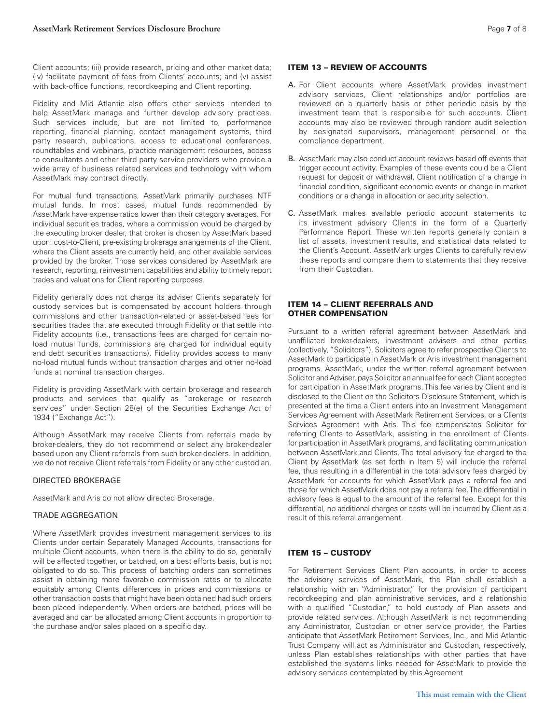Client accounts; (iii) provide research, pricing and other market data; (iv) facilitate payment of fees from Clients' accounts; and (v) assist with back-office functions, recordkeeping and Client reporting.

Fidelity and Mid Atlantic also offers other services intended to help AssetMark manage and further develop advisory practices. Such services include, but are not limited to, performance reporting, financial planning, contact management systems, third party research, publications, access to educational conferences, roundtables and webinars, practice management resources, access to consultants and other third party service providers who provide a wide array of business related services and technology with whom AssetMark may contract directly.

For mutual fund transactions, AssetMark primarily purchases NTF mutual funds. In most cases, mutual funds recommended by AssetMark have expense ratios lower than their category averages. For individual securities trades, where a commission would be charged by the executing broker dealer, that broker is chosen by AssetMark based upon: cost-to-Client, pre-existing brokerage arrangements of the Client, where the Client assets are currently held, and other available services provided by the broker. Those services considered by AssetMark are research, reporting, reinvestment capabilities and ability to timely report trades and valuations for Client reporting purposes.

Fidelity generally does not charge its adviser Clients separately for custody services but is compensated by account holders through commissions and other transaction-related or asset-based fees for securities trades that are executed through Fidelity or that settle into Fidelity accounts (i.e., transactions fees are charged for certain noload mutual funds, commissions are charged for individual equity and debt securities transactions). Fidelity provides access to many no-load mutual funds without transaction charges and other no-load funds at nominal transaction charges.

Fidelity is providing AssetMark with certain brokerage and research products and services that qualify as "brokerage or research services" under Section 28(e) of the Securities Exchange Act of 1934 ("Exchange Act").

Although AssetMark may receive Clients from referrals made by broker-dealers, they do not recommend or select any broker-dealer based upon any Client referrals from such broker-dealers. In addition, we do not receive Client referrals from Fidelity or any other custodian.

#### DIRECTED BROKERAGE

AssetMark and Aris do not allow directed Brokerage.

#### TRADE AGGREGATION

Where AssetMark provides investment management services to its Clients under certain Separately Managed Accounts, transactions for multiple Client accounts, when there is the ability to do so, generally will be affected together, or batched, on a best efforts basis, but is not obligated to do so. This process of batching orders can sometimes assist in obtaining more favorable commission rates or to allocate equitably among Clients differences in prices and commissions or other transaction costs that might have been obtained had such orders been placed independently. When orders are batched, prices will be averaged and can be allocated among Client accounts in proportion to the purchase and/or sales placed on a specific day.

#### ITEM 13 – REVIEW OF ACCOUNTS

- A. For Client accounts where AssetMark provides investment advisory services, Client relationships and/or portfolios are reviewed on a quarterly basis or other periodic basis by the investment team that is responsible for such accounts. Client accounts may also be reviewed through random audit selection by designated supervisors, management personnel or the compliance department.
- B. AssetMark may also conduct account reviews based off events that trigger account activity. Examples of these events could be a Client request for deposit or withdrawal, Client notification of a change in financial condition, significant economic events or change in market conditions or a change in allocation or security selection.
- C. AssetMark makes available periodic account statements to its investment advisory Clients in the form of a Quarterly Performance Report. These written reports generally contain a list of assets, investment results, and statistical data related to the Client's Account. AssetMark urges Clients to carefully review these reports and compare them to statements that they receive from their Custodian.

#### ITEM 14 – CLIENT REFERRALS AND OTHER COMPENSATION

Pursuant to a written referral agreement between AssetMark and unaffiliated broker-dealers, investment advisers and other parties (collectively, "Solicitors"), Solicitors agree to refer prospective Clients to AssetMark to participate in AssetMark or Aris investment management programs. AssetMark, under the written referral agreement between Solicitor and Adviser, pays Solicitor an annual fee for each Client accepted for participation in AssetMark programs. This fee varies by Client and is disclosed to the Client on the Solicitors Disclosure Statement, which is presented at the time a Client enters into an Investment Management Services Agreement with AssetMark Retirement Services, or a Clients Services Agreement with Aris. This fee compensates Solicitor for referring Clients to AssetMark, assisting in the enrollment of Clients for participation in AssetMark programs, and facilitating communication between AssetMark and Clients. The total advisory fee charged to the Client by AssetMark (as set forth in Item 5) will include the referral fee, thus resulting in a differential in the total advisory fees charged by AssetMark for accounts for which AssetMark pays a referral fee and those for which AssetMark does not pay a referral fee. The differential in advisory fees is equal to the amount of the referral fee. Except for this differential, no additional charges or costs will be incurred by Client as a result of this referral arrangement.

#### ITEM 15 – CUSTODY

For Retirement Services Client Plan accounts, in order to access the advisory services of AssetMark, the Plan shall establish a relationship with an "Administrator," for the provision of participant recordkeeping and plan administrative services, and a relationship with a qualified "Custodian," to hold custody of Plan assets and provide related services. Although AssetMark is not recommending any Administrator, Custodian or other service provider, the Parties anticipate that AssetMark Retirement Services, Inc., and Mid Atlantic Trust Company will act as Administrator and Custodian, respectively, unless Plan establishes relationships with other parties that have established the systems links needed for AssetMark to provide the advisory services contemplated by this Agreement